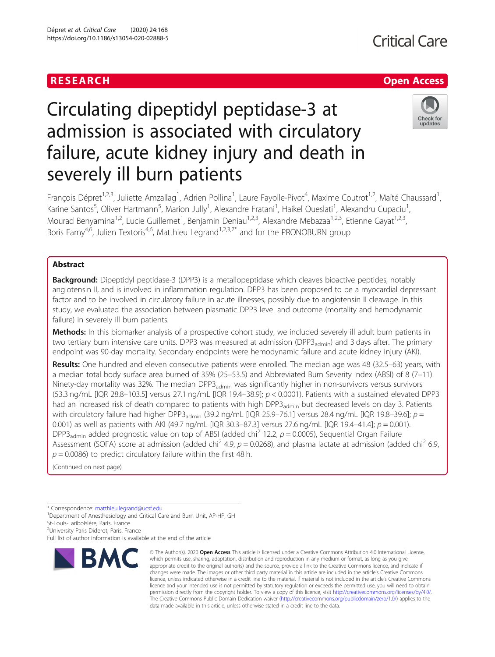Dépret et al. Critical Care (2020) 24:168 https://doi.org/10.1186/s13054-020-02888-5

# Circulating dipeptidyl peptidase-3 at admission is associated with circulatory failure, acute kidney injury and death in severely ill burn patients



François Dépret<sup>1,2,3</sup>, Juliette Amzallag<sup>1</sup>, Adrien Pollina<sup>1</sup>, Laure Fayolle-Pivot<sup>4</sup>, Maxime Coutrot<sup>1,2</sup>, Maïté Chaussard<sup>1</sup> , Karine Santos<sup>5</sup>, Oliver Hartmann<sup>5</sup>, Marion Jully<sup>1</sup>, Alexandre Fratani<sup>1</sup>, Haikel Oueslati<sup>1</sup>, Alexandru Cupaciu<sup>1</sup> , Mourad Benyamina<sup>1,2</sup>, Lucie Guillemet<sup>1</sup>, Benjamin Deniau<sup>1,2,3</sup>, Alexandre Mebazaa<sup>1,2,3</sup>, Etienne Gayat<sup>1,2,3</sup>, Boris Farny<sup>4,6</sup>, Julien Textoris<sup>4,6</sup>, Matthieu Legrand<sup>1,2,3,7\*</sup> and for the PRONOBURN group

# Abstract

**Background:** Dipeptidyl peptidase-3 (DPP3) is a metallopeptidase which cleaves bioactive peptides, notably angiotensin II, and is involved in inflammation regulation. DPP3 has been proposed to be a myocardial depressant factor and to be involved in circulatory failure in acute illnesses, possibly due to angiotensin II cleavage. In this study, we evaluated the association between plasmatic DPP3 level and outcome (mortality and hemodynamic failure) in severely ill burn patients.

Methods: In this biomarker analysis of a prospective cohort study, we included severely ill adult burn patients in two tertiary burn intensive care units. DPP3 was measured at admission (DPP3<sub>admin</sub>) and 3 days after. The primary endpoint was 90-day mortality. Secondary endpoints were hemodynamic failure and acute kidney injury (AKI).

Results: One hundred and eleven consecutive patients were enrolled. The median age was 48 (32.5–63) years, with a median total body surface area burned of 35% (25–53.5) and Abbreviated Burn Severity Index (ABSI) of 8 (7–11). Ninety-day mortality was 32%. The median DPP3<sub>admin</sub> was significantly higher in non-survivors versus survivors (53.3 ng/mL [IQR 28.8-103.5] versus 27.1 ng/mL [IQR 19.4-38.9];  $p < 0.0001$ ). Patients with a sustained elevated DPP3 had an increased risk of death compared to patients with high DPP3<sub>admin</sub> but decreased levels on day 3. Patients with circulatory failure had higher DPP3<sub>admin</sub> (39.2 ng/mL [IQR 25.9–76.1] versus 28.4 ng/mL [IQR 19.8–39.6];  $p =$ 0.001) as well as patients with AKI (49.7 ng/mL [IQR 30.3–87.3] versus 27.6 ng/mL [IQR 19.4–41.4];  $p = 0.001$ ). DPP3<sub>admin</sub> added prognostic value on top of ABSI (added chi<sup>2</sup> 12.2,  $p = 0.0005$ ), Sequential Organ Failure Assessment (SOFA) score at admission (added chi<sup>2</sup> 4.9,  $p = 0.0268$ ), and plasma lactate at admission (added chi<sup>2</sup> 6.9,  $p = 0.0086$ ) to predict circulatory failure within the first 48 h.

(Continued on next page)

St-Louis-Lariboisière, Paris, France

<sup>2</sup>University Paris Diderot, Paris, France

Full list of author information is available at the end of the article



<sup>©</sup> The Author(s), 2020 **Open Access** This article is licensed under a Creative Commons Attribution 4.0 International License, which permits use, sharing, adaptation, distribution and reproduction in any medium or format, as long as you give appropriate credit to the original author(s) and the source, provide a link to the Creative Commons licence, and indicate if changes were made. The images or other third party material in this article are included in the article's Creative Commons licence, unless indicated otherwise in a credit line to the material. If material is not included in the article's Creative Commons licence and your intended use is not permitted by statutory regulation or exceeds the permitted use, you will need to obtain permission directly from the copyright holder. To view a copy of this licence, visit [http://creativecommons.org/licenses/by/4.0/.](http://creativecommons.org/licenses/by/4.0/) The Creative Commons Public Domain Dedication waiver [\(http://creativecommons.org/publicdomain/zero/1.0/](http://creativecommons.org/publicdomain/zero/1.0/)) applies to the data made available in this article, unless otherwise stated in a credit line to the data.

<sup>\*</sup> Correspondence: [matthieu.legrand@ucsf.edu](mailto:matthieu.legrand@ucsf.edu) <sup>1</sup>

Department of Anesthesiology and Critical Care and Burn Unit, AP-HP, GH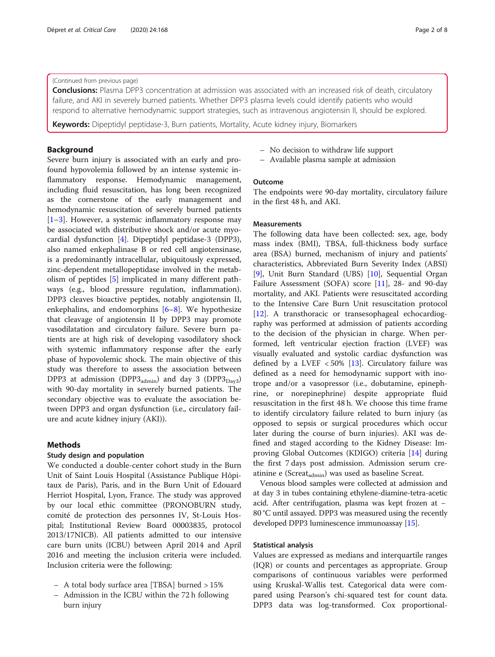# (Continued from previous page)

**Conclusions:** Plasma DPP3 concentration at admission was associated with an increased risk of death, circulatory failure, and AKI in severely burned patients. Whether DPP3 plasma levels could identify patients who would respond to alternative hemodynamic support strategies, such as intravenous angiotensin II, should be explored.

**Keywords:** Dipeptidyl peptidase-3, Burn patients, Mortality, Acute kidney injury, Biomarkers

# Background

Severe burn injury is associated with an early and profound hypovolemia followed by an intense systemic inflammatory response. Hemodynamic management, including fluid resuscitation, has long been recognized as the cornerstone of the early management and hemodynamic resuscitation of severely burned patients [[1](#page-7-0)–[3\]](#page-7-0). However, a systemic inflammatory response may be associated with distributive shock and/or acute myocardial dysfunction [[4](#page-7-0)]. Dipeptidyl peptidase-3 (DPP3), also named enkephalinase B or red cell angiotensinase, is a predominantly intracellular, ubiquitously expressed, zinc-dependent metallopeptidase involved in the metabolism of peptides [[5\]](#page-7-0) implicated in many different pathways (e.g., blood pressure regulation, inflammation). DPP3 cleaves bioactive peptides, notably angiotensin II, enkephalins, and endomorphins [\[6](#page-7-0)–[8](#page-7-0)]. We hypothesize that cleavage of angiotensin II by DPP3 may promote vasodilatation and circulatory failure. Severe burn patients are at high risk of developing vasodilatory shock with systemic inflammatory response after the early phase of hypovolemic shock. The main objective of this study was therefore to assess the association between DPP3 at admission (DPP3 $_{\text{admin}}$ ) and day 3 (DPP3 $_{\text{Day3}}$ ) with 90-day mortality in severely burned patients. The secondary objective was to evaluate the association between DPP3 and organ dysfunction (i.e., circulatory failure and acute kidney injury (AKI)).

# Methods

# Study design and population

We conducted a double-center cohort study in the Burn Unit of Saint Louis Hospital (Assistance Publique Hôpitaux de Paris), Paris, and in the Burn Unit of Edouard Herriot Hospital, Lyon, France. The study was approved by our local ethic committee (PRONOBURN study, comité de protection des personnes IV, St-Louis Hospital; Institutional Review Board 00003835, protocol 2013/17NICB). All patients admitted to our intensive care burn units (ICBU) between April 2014 and April 2016 and meeting the inclusion criteria were included. Inclusion criteria were the following:

- A total body surface area [TBSA] burned > 15%
- Admission in the ICBU within the 72 h following burn injury
- No decision to withdraw life support
- Available plasma sample at admission

# Outcome

The endpoints were 90-day mortality, circulatory failure in the first 48 h, and AKI.

# Measurements

The following data have been collected: sex, age, body mass index (BMI), TBSA, full-thickness body surface area (BSA) burned, mechanism of injury and patients' characteristics, Abbreviated Burn Severity Index (ABSI) [[9\]](#page-7-0), Unit Burn Standard (UBS) [\[10](#page-7-0)], Sequential Organ Failure Assessment (SOFA) score [\[11\]](#page-7-0), 28- and 90-day mortality, and AKI. Patients were resuscitated according to the Intensive Care Burn Unit resuscitation protocol [[12\]](#page-7-0). A transthoracic or transesophageal echocardiography was performed at admission of patients according to the decision of the physician in charge. When performed, left ventricular ejection fraction (LVEF) was visually evaluated and systolic cardiac dysfunction was defined by a LVEF  $< 50\%$  [\[13](#page-7-0)]. Circulatory failure was defined as a need for hemodynamic support with inotrope and/or a vasopressor (i.e., dobutamine, epinephrine, or norepinephrine) despite appropriate fluid resuscitation in the first 48 h. We choose this time frame to identify circulatory failure related to burn injury (as opposed to sepsis or surgical procedures which occur later during the course of burn injuries). AKI was defined and staged according to the Kidney Disease: Improving Global Outcomes (KDIGO) criteria [[14\]](#page-7-0) during the first 7 days post admission. Admission serum creatinine e (Screat $_{\text{admin}}$ ) was used as baseline Screat.

Venous blood samples were collected at admission and at day 3 in tubes containing ethylene-diamine-tetra-acetic acid. After centrifugation, plasma was kept frozen at − 80 °C until assayed. DPP3 was measured using the recently developed DPP3 luminescence immunoassay [\[15\]](#page-7-0).

### Statistical analysis

Values are expressed as medians and interquartile ranges (IQR) or counts and percentages as appropriate. Group comparisons of continuous variables were performed using Kruskal-Wallis test. Categorical data were compared using Pearson's chi-squared test for count data. DPP3 data was log-transformed. Cox proportional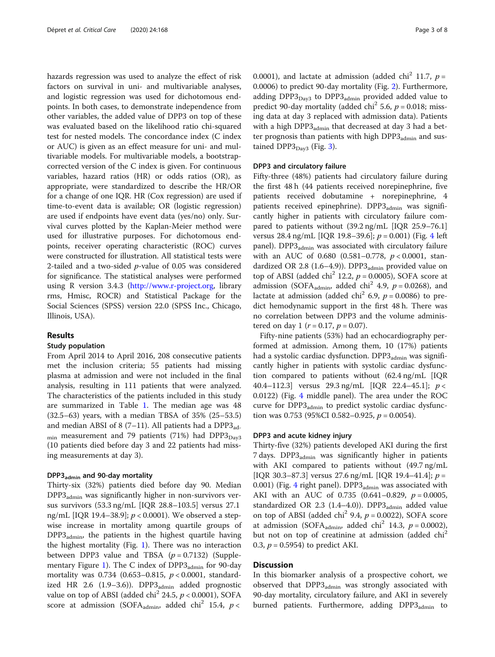hazards regression was used to analyze the effect of risk factors on survival in uni- and multivariable analyses, and logistic regression was used for dichotomous endpoints. In both cases, to demonstrate independence from other variables, the added value of DPP3 on top of these was evaluated based on the likelihood ratio chi-squared test for nested models. The concordance index (C index or AUC) is given as an effect measure for uni- and multivariable models. For multivariable models, a bootstrapcorrected version of the C index is given. For continuous variables, hazard ratios (HR) or odds ratios (OR), as appropriate, were standardized to describe the HR/OR for a change of one IQR. HR (Cox regression) are used if time-to-event data is available; OR (logistic regression) are used if endpoints have event data (yes/no) only. Survival curves plotted by the Kaplan-Meier method were used for illustrative purposes. For dichotomous endpoints, receiver operating characteristic (ROC) curves were constructed for illustration. All statistical tests were 2-tailed and a two-sided p-value of 0.05 was considered for significance. The statistical analyses were performed using R version 3.4.3 ([http://www.r-project.org,](http://www.r-project.org) library rms, Hmisc, ROCR) and Statistical Package for the Social Sciences (SPSS) version 22.0 (SPSS Inc., Chicago, Illinois, USA).

# Results

# Study population

From April 2014 to April 2016, 208 consecutive patients met the inclusion criteria; 55 patients had missing plasma at admission and were not included in the final analysis, resulting in 111 patients that were analyzed. The characteristics of the patients included in this study are summarized in Table [1.](#page-3-0) The median age was 48 (32.5–63) years, with a median TBSA of 35% (25–53.5) and median ABSI of 8 (7-11). All patients had a  $DPP3_{ad}$ .  $_{\text{min}}$  measurement and 79 patients (71%) had DPP3 $_{\text{Dav3}}$ (10 patients died before day 3 and 22 patients had missing measurements at day 3).

# DPP3admin and 90-day mortality

Thirty-six (32%) patients died before day 90. Median  $DPP3_{\text{admin}}$  was significantly higher in non-survivors versus survivors (53.3 ng/mL [IQR 28.8–103.5] versus 27.1 ng/mL [IQR 19.4–38.9];  $p < 0.0001$ ). We observed a stepwise increase in mortality among quartile groups of  $DPP3_{\text{admin}}$ , the patients in the highest quartile having the highest mortality (Fig. [1\)](#page-4-0). There was no interaction between DPP3 value and TBSA  $(p = 0.7132)$  (Supple-mentary Figure [1\)](#page-6-0). The C index of  $DPP3$ <sub>admin</sub> for 90-day mortality was  $0.734$  (0.653–0.815,  $p < 0.0001$ , standardized HR 2.6  $(1.9-3.6)$ ). DPP3 $_{\text{admin}}$  added prognostic value on top of ABSI (added chi<sup>2</sup> 24.5,  $p < 0.0001$ ), SOFA score at admission (SOFA<sub>admin</sub>, added chi<sup>2</sup> 15.4,  $p$  <

0.0001), and lactate at admission (added chi<sup>2</sup> 11.7,  $p =$ 0.0006) to predict 90-day mortality (Fig. [2](#page-4-0)). Furthermore, adding  $DPP3_{\text{Dav3}}$  to  $DPP3_{\text{admin}}$  provided added value to predict 90-day mortality (added chi<sup>2</sup> 5.6,  $p = 0.018$ ; missing data at day 3 replaced with admission data). Patients with a high  $DPP3_{\text{admin}}$  that decreased at day 3 had a better prognosis than patients with high  $DPP3_{\text{admin}}$  and sustained  $DPP3_{\text{Dav3}}$  $DPP3_{\text{Dav3}}$  $DPP3_{\text{Dav3}}$  (Fig. 3).

# DPP3 and circulatory failure

Fifty-three (48%) patients had circulatory failure during the first 48 h (44 patients received norepinephrine, five patients received dobutamine + norepinephrine, 4 patients received epinephrine). DPP3<sub>admin</sub> was significantly higher in patients with circulatory failure compared to patients without (39.2 ng/mL [IQR 25.9–76.1] versus 28.[4](#page-5-0) ng/mL [IQR 19.8-39.6];  $p = 0.001$ ) (Fig. 4 left panel). DPP3<sub>admin</sub> was associated with circulatory failure with an AUC of 0.680 (0.581-0.778,  $p < 0.0001$ , standardized OR 2.8 (1.6–4.9)). DPP $3_{\text{admin}}$  provided value on top of ABSI (added chi<sup>2</sup> 12.2,  $p = 0.0005$ ), SOFA score at admission (SOFA<sub>admin</sub>, added chi<sup>2</sup> 4.9,  $p = 0.0268$ ), and lactate at admission (added chi<sup>2</sup> 6.9,  $p = 0.0086$ ) to predict hemodynamic support in the first 48 h. There was no correlation between DPP3 and the volume administered on day 1 ( $r = 0.17$ ,  $p = 0.07$ ).

Fifty-nine patients (53%) had an echocardiography performed at admission. Among them, 10 (17%) patients had a systolic cardiac dysfunction. DPP3<sub>admin</sub> was significantly higher in patients with systolic cardiac dysfunction compared to patients without (62.4 ng/mL [IQR 40.4–112.3] versus 29.3 ng/mL [IQR 22.4–45.1];  $p <$ 0.0122) (Fig. [4](#page-5-0) middle panel). The area under the ROC curve for  $DPP3_{\text{admin}}$  to predict systolic cardiac dysfunction was 0.753 (95%CI 0.582–0.925,  $p = 0.0054$ ).

## DPP3 and acute kidney injury

Thirty-five (32%) patients developed AKI during the first 7 days. DPP3<sub>admin</sub> was significantly higher in patients with AKI compared to patients without (49.7 ng/mL [IQR 30.3-87.3] versus 27.6 ng/mL [IQR 19.4-41.4];  $p =$ 0.001) (Fig. [4](#page-5-0) right panel).  $DPP3_{\text{admin}}$  was associated with AKI with an AUC of 0.735 (0.641-0.829,  $p = 0.0005$ , standardized OR 2.3 (1.4–4.0)). DPP3 $_{\text{admin}}$  added value on top of ABSI (added chi<sup>2</sup> 9.4,  $p = 0.0022$ ), SOFA score at admission (SOFA<sub>admin</sub>, added chi<sup>2</sup> 14.3,  $p = 0.0002$ ), but not on top of creatinine at admission (added chi<sup>2</sup> 0.3,  $p = 0.5954$ ) to predict AKI.

# **Discussion**

In this biomarker analysis of a prospective cohort, we observed that DPP3<sub>admin</sub> was strongly associated with 90-day mortality, circulatory failure, and AKI in severely burned patients. Furthermore, adding DPP3<sub>admin</sub> to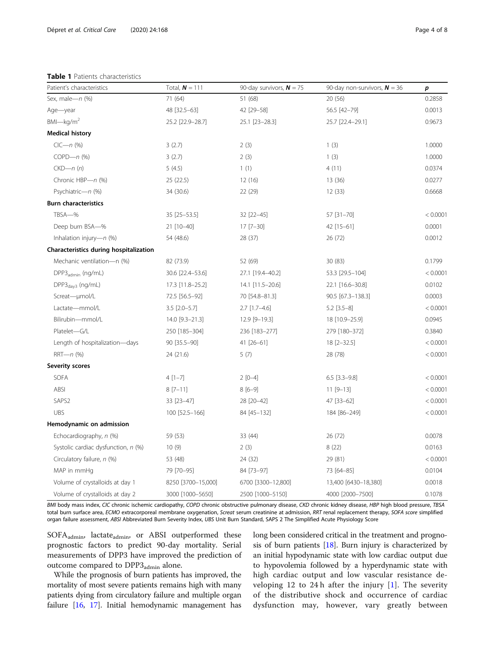#### <span id="page-3-0"></span>Table 1 Patients characteristics

| Patient's characteristics              | Total, $N = 111$      | 90-day survivors, $N = 75$ | 90-day non-survivors, $N = 36$ | р        |
|----------------------------------------|-----------------------|----------------------------|--------------------------------|----------|
| Sex, male-n (%)                        | 71 (64)               | 51 (68)                    | 20 (56)                        | 0.2858   |
| Age-year                               | 48 [32.5-63]          | 42 [29-58]                 | 56.5 [42-79]                   | 0.0013   |
| $BMI$ <sub>kg/m<sup>2</sup></sub>      | 25.2 [22.9-28.7]      | 25.1 [23-28.3]             | 25.7 [22.4-29.1]               | 0.9673   |
| <b>Medical history</b>                 |                       |                            |                                |          |
| $CIC - n$ (%)                          | 3(2.7)                | 2(3)                       | 1(3)                           | 1.0000   |
| $COPD - n$ (%)                         | 3(2.7)                | 2(3)                       | 1(3)                           | 1.0000   |
| $CKD - n(n)$                           | 5(4.5)                | 1(1)                       | 4(11)                          | 0.0374   |
| Chronic HBP-n (%)                      | 25 (22.5)             | 12(16)                     | 13(36)                         | 0.0277   |
| Psychiatric-n (%)                      | 34 (30.6)             | 22 (29)                    | 12(33)                         | 0.6668   |
| <b>Burn characteristics</b>            |                       |                            |                                |          |
| TBSA-%                                 | 35 [25-53.5]          | 32 [22-45]                 | 57 [31-70]                     | < 0.0001 |
| Deep burn BSA-%                        | 21 [10-40]            | 17 [7-30]                  | 42 [15-61]                     | 0.0001   |
| Inhalation injury- $n$ (%)             | 54 (48.6)             | 28 (37)                    | 26 (72)                        | 0.0012   |
| Characteristics during hospitalization |                       |                            |                                |          |
| Mechanic ventilation-n (%)             | 82 (73.9)             | 52 (69)                    | 30(83)                         | 0.1799   |
| DPP3 <sub>admin</sub> (ng/mL)          | 30.6 [22.4-53.6]      | 27.1 [19.4-40.2]           | 53.3 [29.5-104]                | < 0.0001 |
| DPP3 <sub>day3</sub> (ng/mL)           | 17.3 [11.8-25.2]      | 14.1 [11.5-20.6]           | 22.1 [16.6-30.8]               | 0.0102   |
| Screat-umol/L                          | 72.5 [56.5-92]        | 70 [54.8-81.3]             | 90.5 [67.3-138.3]              | 0.0003   |
| Lactate-mmol/L                         | $3.5$ [ $2.0 - 5.7$ ] | $2.7$ [1.7-4.6]            | $5.2$ [ $3.5-8$ ]              | < 0.0001 |
| Bilirubin-mmol/L                       | 14.0 [9.3-21.3]       | 12.9 [9-19.3]              | 18 [10.9-25.9]                 | 0.0945   |
| Platelet-G/L                           | 250 [185-304]         | 236 [183-277]              | 279 [180-372]                  | 0.3840   |
| Length of hospitalization-days         | 90 [35.5-90]          | 41 [26-61]                 | $18$ [2-32.5]                  | < 0.0001 |
| $RRT - n$ (%)                          | 24 (21.6)             | 5(7)                       | 28 (78)                        | < 0.0001 |
| <b>Severity scores</b>                 |                       |                            |                                |          |
| <b>SOFA</b>                            | 4 [1-7]               | $2[0-4]$                   | $6.5$ [3.3-9.8]                | < 0.0001 |
| ABSI                                   | $8[7-11]$             | $8[6-9]$                   | $11 [9 - 13]$                  | < 0.0001 |
| SAPS2                                  | 33 [23-47]            | 28 [20-42]                 | 47 [33-62]                     | < 0.0001 |
| <b>UBS</b>                             | 100 [52.5-166]        | 84 [45-132]                | 184 [86-249]                   | < 0.0001 |
| Hemodynamic on admission               |                       |                            |                                |          |
| Echocardiography, n (%)                | 59 (53)               | 33 (44)                    | 26 (72)                        | 0.0078   |
| Systolic cardiac dysfunction, n (%)    | 10(9)                 | 2(3)                       | 8(22)                          | 0.0163   |
| Circulatory failure, n (%)             | 53 (48)               | 24 (32)                    | 29 (81)                        | < 0.0001 |
| MAP in mmHq                            | 79 [70-95]            | 84 [73-97]                 | 73 [64-85]                     | 0.0104   |
| Volume of crystalloids at day 1        | 8250 [3700-15,000]    | 6700 [3300-12,800]         | 13,400 [6430-18,380]           | 0.0018   |
| Volume of crystalloids at day 2        | 3000 [1000-5650]      | 2500 [1000-5150]           | 4000 [2000-7500]               | 0.1078   |

BMI body mass index, CIC chronic ischemic cardiopathy, COPD chronic obstructive pulmonary disease, CKD chronic kidney disease, HBP high blood pressure, TBSA total burn surface area, ECMO extracorporeal membrane oxygenation, Screat serum creatinine at admission, RRT renal replacement therapy, SOFA score simplified organ failure assessment, ABSI Abbreviated Burn Severity Index, UBS Unit Burn Standard, SAPS 2 The Simplified Acute Physiology Score

 $\text{SOFA}_{\text{admin}}$ , lactate $_{\text{admin}}$ , or ABSI outperformed these prognostic factors to predict 90-day mortality. Serial measurements of DPP3 have improved the prediction of outcome compared to DPP3<sub>admin</sub> alone.

While the prognosis of burn patients has improved, the mortality of most severe patients remains high with many patients dying from circulatory failure and multiple organ failure [[16](#page-7-0), [17\]](#page-7-0). Initial hemodynamic management has long been considered critical in the treatment and prognosis of burn patients  $[18]$ . Burn injury is characterized by an initial hypodynamic state with low cardiac output due to hypovolemia followed by a hyperdynamic state with high cardiac output and low vascular resistance developing 12 to 24 h after the injury  $[1]$  $[1]$ . The severity of the distributive shock and occurrence of cardiac dysfunction may, however, vary greatly between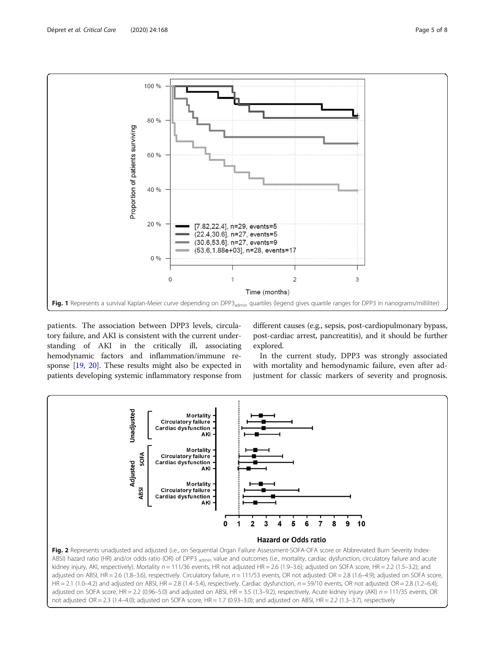<span id="page-4-0"></span>

patients. The association between DPP3 levels, circulatory failure, and AKI is consistent with the current understanding of AKI in the critically ill, associating hemodynamic factors and inflammation/immune response [[19,](#page-7-0) [20](#page-7-0)]. These results might also be expected in patients developing systemic inflammatory response from

different causes (e.g., sepsis, post-cardiopulmonary bypass, post-cardiac arrest, pancreatitis), and it should be further explored.

In the current study, DPP3 was strongly associated with mortality and hemodynamic failure, even after adjustment for classic markers of severity and prognosis.

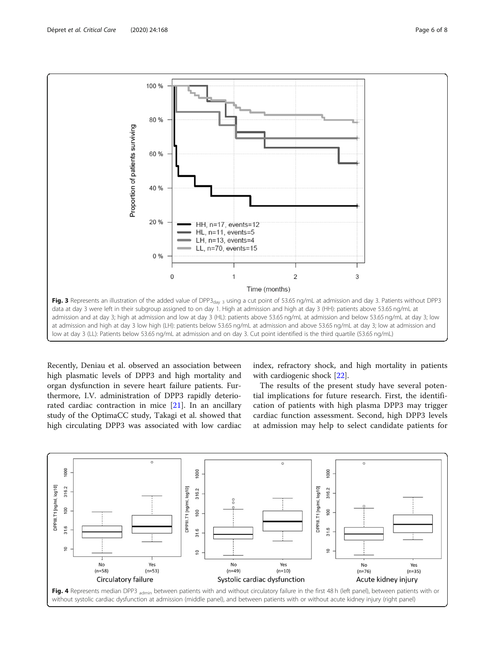<span id="page-5-0"></span>

Recently, Deniau et al. observed an association between high plasmatic levels of DPP3 and high mortality and organ dysfunction in severe heart failure patients. Furthermore, I.V. administration of DPP3 rapidly deteriorated cardiac contraction in mice [\[21\]](#page-7-0). In an ancillary study of the OptimaCC study, Takagi et al. showed that high circulating DPP3 was associated with low cardiac index, refractory shock, and high mortality in patients with cardiogenic shock [[22\]](#page-7-0).

The results of the present study have several potential implications for future research. First, the identification of patients with high plasma DPP3 may trigger cardiac function assessment. Second, high DPP3 levels at admission may help to select candidate patients for

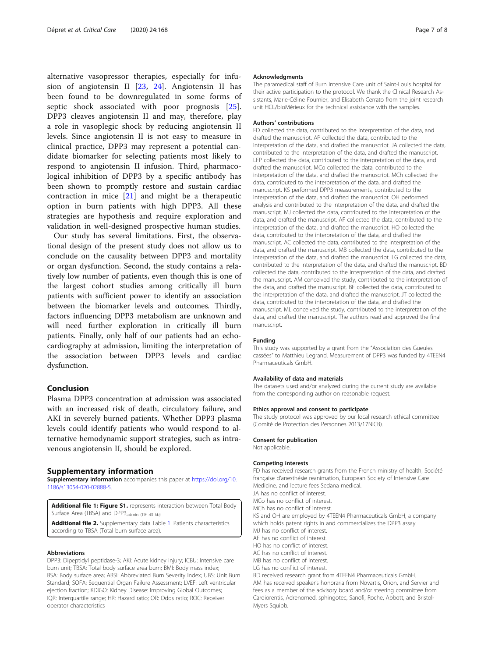<span id="page-6-0"></span>alternative vasopressor therapies, especially for infusion of angiotensin II [[23,](#page-7-0) [24\]](#page-7-0). Angiotensin II has been found to be downregulated in some forms of septic shock associated with poor prognosis [\[25](#page-7-0)]. DPP3 cleaves angiotensin II and may, therefore, play a role in vasoplegic shock by reducing angiotensin II levels. Since angiotensin II is not easy to measure in clinical practice, DPP3 may represent a potential candidate biomarker for selecting patients most likely to respond to angiotensin II infusion. Third, pharmacological inhibition of DPP3 by a specific antibody has been shown to promptly restore and sustain cardiac contraction in mice [[21](#page-7-0)] and might be a therapeutic option in burn patients with high DPP3. All these strategies are hypothesis and require exploration and validation in well-designed prospective human studies.

Our study has several limitations. First, the observational design of the present study does not allow us to conclude on the causality between DPP3 and mortality or organ dysfunction. Second, the study contains a relatively low number of patients, even though this is one of the largest cohort studies among critically ill burn patients with sufficient power to identify an association between the biomarker levels and outcomes. Thirdly, factors influencing DPP3 metabolism are unknown and will need further exploration in critically ill burn patients. Finally, only half of our patients had an echocardiography at admission, limiting the interpretation of the association between DPP3 levels and cardiac dysfunction.

# Conclusion

Plasma DPP3 concentration at admission was associated with an increased risk of death, circulatory failure, and AKI in severely burned patients. Whether DPP3 plasma levels could identify patients who would respond to alternative hemodynamic support strategies, such as intravenous angiotensin II, should be explored.

### Supplementary information

Supplementary information accompanies this paper at [https://doi.org/10.](https://doi.org/10.1186/s13054-020-02888-5) [1186/s13054-020-02888-5](https://doi.org/10.1186/s13054-020-02888-5).

Additional file 1: Figure S1. represents interaction between Total Body Surface Area (TBSA) and DPP3<sub>admin</sub> (TIF 43 kb)

Additional file 2. Supplementary data Table 1. Patients characteristics according to TBSA (Total burn surface area).

#### Abbreviations

DPP3: Dipeptidyl peptidase-3; AKI: Acute kidney injury; ICBU: Intensive care burn unit; TBSA: Total body surface area burn; BMI: Body mass index; BSA: Body surface area; ABSI: Abbreviated Burn Severity Index; UBS: Unit Burn Standard; SOFA: Sequential Organ Failure Assessment; LVEF: Left ventricular ejection fraction; KDIGO: Kidney Disease: Improving Global Outcomes; IQR: Interquartile range; HR: Hazard ratio; OR: Odds ratio; ROC: Receiver operator characteristics

#### Acknowledgments

The paramedical staff of Burn Intensive Care unit of Saint-Louis hospital for their active participation to the protocol. We thank the Clinical Research Assistants, Marie-Céline Fournier, and Elisabeth Cerrato from the joint research unit HCL/bioMérieux for the technical assistance with the samples.

#### Authors' contributions

FD collected the data, contributed to the interpretation of the data, and drafted the manuscript. AP collected the data, contributed to the interpretation of the data, and drafted the manuscript. JA collected the data, contributed to the interpretation of the data, and drafted the manuscript. LFP collected the data, contributed to the interpretation of the data, and drafted the manuscript. MCo collected the data, contributed to the interpretation of the data, and drafted the manuscript. MCh collected the data, contributed to the interpretation of the data, and drafted the manuscript. KS performed DPP3 measurements, contributed to the interpretation of the data, and drafted the manuscript. OH performed analysis and contributed to the interpretation of the data, and drafted the manuscript. MJ collected the data, contributed to the interpretation of the data, and drafted the manuscript. AF collected the data, contributed to the interpretation of the data, and drafted the manuscript. HO collected the data, contributed to the interpretation of the data, and drafted the manuscript. AC collected the data, contributed to the interpretation of the data, and drafted the manuscript. MB collected the data, contributed to the interpretation of the data, and drafted the manuscript. LG collected the data, contributed to the interpretation of the data, and drafted the manuscript. BD collected the data, contributed to the interpretation of the data, and drafted the manuscript. AM conceived the study, contributed to the interpretation of the data, and drafted the manuscript. BF collected the data, contributed to the interpretation of the data, and drafted the manuscript. JT collected the data, contributed to the interpretation of the data, and drafted the manuscript. ML conceived the study, contributed to the interpretation of the data, and drafted the manuscript. The authors read and approved the final manuscript.

#### Funding

This study was supported by a grant from the "Association des Gueules cassées" to Matthieu Legrand. Measurement of DPP3 was funded by 4TEEN4 Pharmaceuticals GmbH.

#### Availability of data and materials

The datasets used and/or analyzed during the current study are available from the corresponding author on reasonable request.

#### Ethics approval and consent to participate

The study protocol was approved by our local research ethical committee (Comité de Protection des Personnes 2013/17NICB).

#### Consent for publication

Not applicable.

#### Competing interests

FD has received research grants from the French ministry of health, Société française d'anesthésie reanimation, European Society of Intensive Care Medicine, and lecture fees Sedana medical.

JA has no conflict of interest. MCo has no conflict of interest.

MCh has no conflict of interest.

KS and OH are employed by 4TEEN4 Pharmaceuticals GmbH, a company which holds patent rights in and commercializes the DPP3 assay.

MJ has no conflict of interest. AF has no conflict of interest.

HO has no conflict of interest.

AC has no conflict of interest.

MB has no conflict of interest.

LG has no conflict of interest.

BD received research grant from 4TEEN4 Pharmaceuticals GmbH. AM has received speaker's honoraria from Novartis, Orion, and Servier and fees as a member of the advisory board and/or steering committee from Cardiorentis, Adrenomed, sphingotec, Sanofi, Roche, Abbott, and Bristol-Myers Squibb.